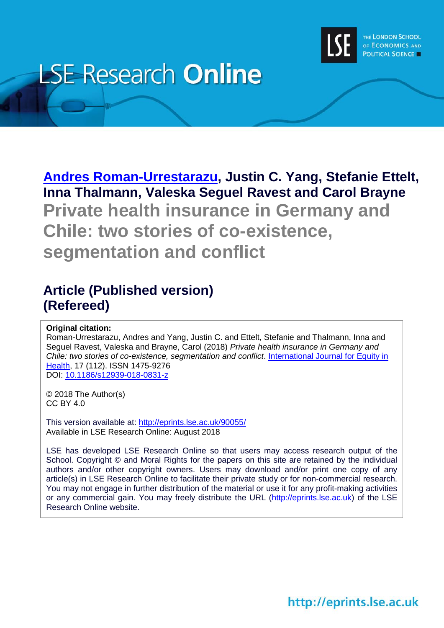

# **LSE Research Online**

**[Andres Roman-Urrestarazu,](http://www.lse.ac.uk/researchAndExpertise/Experts/profile.aspx?KeyValue=a.e.roman-urrestarazu@lse.ac.uk) Justin C. Yang, Stefanie Ettelt, Inna Thalmann, Valeska Seguel Ravest and Carol Brayne Private health insurance in Germany and Chile: two stories of co-existence, segmentation and conflict**

# **Article (Published version) (Refereed)**

# **Original citation:**

Roman-Urrestarazu, Andres and Yang, Justin C. and Ettelt, Stefanie and Thalmann, Inna and Seguel Ravest, Valeska and Brayne, Carol (2018) *Private health insurance in Germany and Chile: two stories of co-existence, segmentation and conflict*. [International Journal for Equity in](https://equityhealthj.biomedcentral.com/)  [Health,](https://equityhealthj.biomedcentral.com/) 17 (112). ISSN 1475-9276 DOI: [10.1186/s12939-018-0831-z](http://doi.org/10.1186/s12939-018-0831-z)

© 2018 The Author(s) CC BY 4.0

This version available at:<http://eprints.lse.ac.uk/90055/> Available in LSE Research Online: August 2018

LSE has developed LSE Research Online so that users may access research output of the School. Copyright © and Moral Rights for the papers on this site are retained by the individual authors and/or other copyright owners. Users may download and/or print one copy of any article(s) in LSE Research Online to facilitate their private study or for non-commercial research. You may not engage in further distribution of the material or use it for any profit-making activities or any commercial gain. You may freely distribute the URL (http://eprints.lse.ac.uk) of the LSE Research Online website.

http://eprints.lse.ac.uk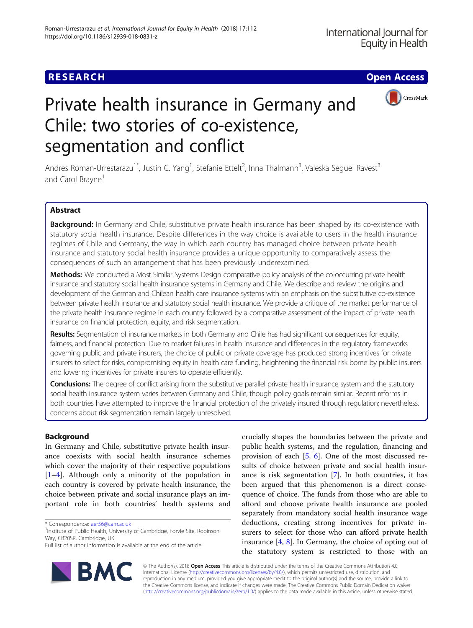# **RESEARCH CHE Open Access**



# Private health insurance in Germany and Chile: two stories of co-existence, segmentation and conflict

Andres Roman-Urrestarazu<sup>1\*</sup>, Justin C. Yang<sup>1</sup>, Stefanie Ettelt<sup>2</sup>, Inna Thalmann<sup>3</sup>, Valeska Seguel Ravest<sup>3</sup> and Carol Brayne<sup>1</sup>

# Abstract

Background: In Germany and Chile, substitutive private health insurance has been shaped by its co-existence with statutory social health insurance. Despite differences in the way choice is available to users in the health insurance regimes of Chile and Germany, the way in which each country has managed choice between private health insurance and statutory social health insurance provides a unique opportunity to comparatively assess the consequences of such an arrangement that has been previously underexamined.

Methods: We conducted a Most Similar Systems Design comparative policy analysis of the co-occurring private health insurance and statutory social health insurance systems in Germany and Chile. We describe and review the origins and development of the German and Chilean health care insurance systems with an emphasis on the substitutive co-existence between private health insurance and statutory social health insurance. We provide a critique of the market performance of the private health insurance regime in each country followed by a comparative assessment of the impact of private health insurance on financial protection, equity, and risk segmentation.

Results: Segmentation of insurance markets in both Germany and Chile has had significant consequences for equity, fairness, and financial protection. Due to market failures in health insurance and differences in the regulatory frameworks governing public and private insurers, the choice of public or private coverage has produced strong incentives for private insurers to select for risks, compromising equity in health care funding, heightening the financial risk borne by public insurers and lowering incentives for private insurers to operate efficiently.

Conclusions: The degree of conflict arising from the substitutive parallel private health insurance system and the statutory social health insurance system varies between Germany and Chile, though policy goals remain similar. Recent reforms in both countries have attempted to improve the financial protection of the privately insured through regulation; nevertheless, concerns about risk segmentation remain largely unresolved.

# Background

In Germany and Chile, substitutive private health insurance coexists with social health insurance schemes which cover the majority of their respective populations [[1](#page-13-0)–[4\]](#page-13-0). Although only a minority of the population in each country is covered by private health insurance, the choice between private and social insurance plays an important role in both countries' health systems and

Full list of author information is available at the end of the article



crucially shapes the boundaries between the private and public health systems, and the regulation, financing and provision of each [\[5](#page-13-0), [6](#page-13-0)]. One of the most discussed results of choice between private and social health insurance is risk segmentation [[7\]](#page-13-0). In both countries, it has been argued that this phenomenon is a direct consequence of choice. The funds from those who are able to afford and choose private health insurance are pooled separately from mandatory social health insurance wage deductions, creating strong incentives for private insurers to select for those who can afford private health insurance  $[4, 8]$  $[4, 8]$  $[4, 8]$  $[4, 8]$ . In Germany, the choice of opting out of the statutory system is restricted to those with an

© The Author(s). 2018 Open Access This article is distributed under the terms of the Creative Commons Attribution 4.0 International License [\(http://creativecommons.org/licenses/by/4.0/](http://creativecommons.org/licenses/by/4.0/)), which permits unrestricted use, distribution, and reproduction in any medium, provided you give appropriate credit to the original author(s) and the source, provide a link to the Creative Commons license, and indicate if changes were made. The Creative Commons Public Domain Dedication waiver [\(http://creativecommons.org/publicdomain/zero/1.0/](http://creativecommons.org/publicdomain/zero/1.0/)) applies to the data made available in this article, unless otherwise stated.

<sup>\*</sup> Correspondence: [aer56@cam.ac.uk](mailto:aer56@cam.ac.uk) <sup>1</sup>

<sup>&</sup>lt;sup>1</sup> Institute of Public Health, University of Cambridge, Forvie Site, Robinson Way, CB20SR, Cambridge, UK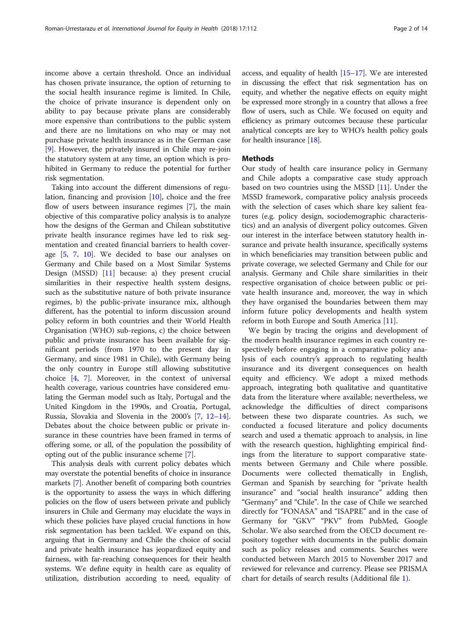income above a certain threshold. Once an individual has chosen private insurance, the option of returning to the social health insurance regime is limited. In Chile, the choice of private insurance is dependent only on ability to pay because private plans are considerably more expensive than contributions to the public system and there are no limitations on who may or may not purchase private health insurance as in the German case [[9\]](#page-13-0). However, the privately insured in Chile may re-join the statutory system at any time, an option which is prohibited in Germany to reduce the potential for further risk segmentation.

Taking into account the different dimensions of regulation, financing and provision  $[10]$  $[10]$ , choice and the free flow of users between insurance regimes [[7\]](#page-13-0), the main objective of this comparative policy analysis is to analyze how the designs of the German and Chilean substitutive private health insurance regimes have led to risk segmentation and created financial barriers to health coverage [\[5](#page-13-0), [7](#page-13-0), [10\]](#page-13-0). We decided to base our analyses on Germany and Chile based on a Most Similar Systems Design (MSSD) [\[11\]](#page-13-0) because: a) they present crucial similarities in their respective health system designs, such as the substitutive nature of both private insurance regimes, b) the public-private insurance mix, although different, has the potential to inform discussion around policy reform in both countries and their World Health Organisation (WHO) sub-regions, c) the choice between public and private insurance has been available for significant periods (from 1970 to the present day in Germany, and since 1981 in Chile), with Germany being the only country in Europe still allowing substitutive choice [\[4](#page-13-0), [7](#page-13-0)]. Moreover, in the context of universal health coverage, various countries have considered emulating the German model such as Italy, Portugal and the United Kingdom in the 1990s, and Croatia, Portugal, Russia, Slovakia and Slovenia in the 2000's [\[7,](#page-13-0) [12](#page-13-0)–[14](#page-13-0)]. Debates about the choice between public or private insurance in these countries have been framed in terms of offering some, or all, of the population the possibility of opting out of the public insurance scheme [\[7\]](#page-13-0).

This analysis deals with current policy debates which may overstate the potential benefits of choice in insurance markets [[7\]](#page-13-0). Another benefit of comparing both countries is the opportunity to assess the ways in which differing policies on the flow of users between private and publicly insurers in Chile and Germany may elucidate the ways in which these policies have played crucial functions in how risk segmentation has been tackled. We expand on this, arguing that in Germany and Chile the choice of social and private health insurance has jeopardized equity and fairness, with far-reaching consequences for their health systems. We define equity in health care as equality of utilization, distribution according to need, equality of access, and equality of health [[15](#page-13-0)–[17\]](#page-13-0). We are interested in discussing the effect that risk segmentation has on equity, and whether the negative effects on equity might be expressed more strongly in a country that allows a free flow of users, such as Chile. We focused on equity and efficiency as primary outcomes because these particular analytical concepts are key to WHO's health policy goals for health insurance  $[18]$ .

# **Methods**

Our study of health care insurance policy in Germany and Chile adopts a comparative case study approach based on two countries using the MSSD [\[11\]](#page-13-0). Under the MSSD framework, comparative policy analysis proceeds with the selection of cases which share key salient features (e.g. policy design, sociodemographic characteristics) and an analysis of divergent policy outcomes. Given our interest in the interface between statutory health insurance and private health insurance, specifically systems in which beneficiaries may transition between public and private coverage, we selected Germany and Chile for our analysis. Germany and Chile share similarities in their respective organisation of choice between public or private health insurance and, moreover, the way in which they have organised the boundaries between them may inform future policy developments and health system reform in both Europe and South America [[11\]](#page-13-0).

We begin by tracing the origins and development of the modern health insurance regimes in each country respectively before engaging in a comparative policy analysis of each country's approach to regulating health insurance and its divergent consequences on health equity and efficiency. We adopt a mixed methods approach, integrating both qualitative and quantitative data from the literature where available; nevertheless, we acknowledge the difficulties of direct comparisons between these two disparate countries. As such, we conducted a focused literature and policy documents search and used a thematic approach to analysis, in line with the research question, highlighting empirical findings from the literature to support comparative statements between Germany and Chile where possible. Documents were collected thematically in English, German and Spanish by searching for "private health insurance" and "social health insurance" adding then "Germany" and "Chile". In the case of Chile we searched directly for "FONASA" and "ISAPRE" and in the case of Germany for "GKV" "PKV" from PubMed, Google Scholar. We also searched from the OECD document repository together with documents in the public domain such as policy releases and comments. Searches were conducted between March 2015 to November 2017 and reviewed for relevance and currency. Please see PRISMA chart for details of search results (Additional file [1](#page-12-0)).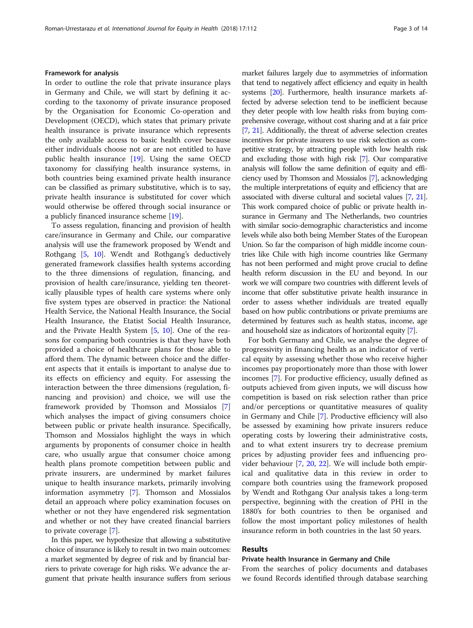# Framework for analysis

In order to outline the role that private insurance plays in Germany and Chile, we will start by defining it according to the taxonomy of private insurance proposed by the Organisation for Economic Co-operation and Development (OECD), which states that primary private health insurance is private insurance which represents the only available access to basic health cover because either individuals choose not or are not entitled to have public health insurance [\[19](#page-13-0)]. Using the same OECD taxonomy for classifying health insurance systems, in both countries being examined private health insurance can be classified as primary substitutive, which is to say, private health insurance is substituted for cover which would otherwise be offered through social insurance or a publicly financed insurance scheme [[19](#page-13-0)].

To assess regulation, financing and provision of health care/insurance in Germany and Chile, our comparative analysis will use the framework proposed by Wendt and Rothgang [[5,](#page-13-0) [10\]](#page-13-0). Wendt and Rothgang's deductively generated framework classifies health systems according to the three dimensions of regulation, financing, and provision of health care/insurance, yielding ten theoretically plausible types of health care systems where only five system types are observed in practice: the National Health Service, the National Health Insurance, the Social Health Insurance, the Etatist Social Health Insurance, and the Private Health System [\[5](#page-13-0), [10](#page-13-0)]. One of the reasons for comparing both countries is that they have both provided a choice of healthcare plans for those able to afford them. The dynamic between choice and the different aspects that it entails is important to analyse due to its effects on efficiency and equity. For assessing the interaction between the three dimensions (regulation, financing and provision) and choice, we will use the framework provided by Thomson and Mossialos [\[7](#page-13-0)] which analyses the impact of giving consumers choice between public or private health insurance. Specifically, Thomson and Mossialos highlight the ways in which arguments by proponents of consumer choice in health care, who usually argue that consumer choice among health plans promote competition between public and private insurers, are undermined by market failures unique to health insurance markets, primarily involving information asymmetry [\[7](#page-13-0)]. Thomson and Mossialos detail an approach where policy examination focuses on whether or not they have engendered risk segmentation and whether or not they have created financial barriers to private coverage [[7](#page-13-0)].

In this paper, we hypothesize that allowing a substitutive choice of insurance is likely to result in two main outcomes: a market segmented by degree of risk and by financial barriers to private coverage for high risks. We advance the argument that private health insurance suffers from serious market failures largely due to asymmetries of information that tend to negatively affect efficiency and equity in health systems [\[20](#page-13-0)]. Furthermore, health insurance markets affected by adverse selection tend to be inefficient because they deter people with low health risks from buying comprehensive coverage, without cost sharing and at a fair price [[7](#page-13-0), [21](#page-13-0)]. Additionally, the threat of adverse selection creates incentives for private insurers to use risk selection as competitive strategy, by attracting people with low health risk and excluding those with high risk [[7\]](#page-13-0). Our comparative analysis will follow the same definition of equity and efficiency used by Thomson and Mossialos [[7](#page-13-0)], acknowledging the multiple interpretations of equity and efficiency that are associated with diverse cultural and societal values [[7](#page-13-0), [21](#page-13-0)]. This work compared choice of public or private health insurance in Germany and The Netherlands, two countries with similar socio-demographic characteristics and income levels while also both being Member States of the European Union. So far the comparison of high middle income countries like Chile with high income countries like Germany has not been performed and might prove crucial to define health reform discussion in the EU and beyond. In our work we will compare two countries with different levels of income that offer substitutive private health insurance in order to assess whether individuals are treated equally based on how public contributions or private premiums are determined by features such as health status, income, age and household size as indicators of horizontal equity [[7](#page-13-0)].

For both Germany and Chile, we analyse the degree of progressivity in financing health as an indicator of vertical equity by assessing whether those who receive higher incomes pay proportionately more than those with lower incomes [[7\]](#page-13-0). For productive efficiency, usually defined as outputs achieved from given inputs, we will discuss how competition is based on risk selection rather than price and/or perceptions or quantitative measures of quality in Germany and Chile [[7\]](#page-13-0). Productive efficiency will also be assessed by examining how private insurers reduce operating costs by lowering their administrative costs, and to what extent insurers try to decrease premium prices by adjusting provider fees and influencing provider behaviour [\[7](#page-13-0), [20,](#page-13-0) [22](#page-13-0)]. We will include both empirical and qualitative data in this review in order to compare both countries using the framework proposed by Wendt and Rothgang Our analysis takes a long-term perspective, beginning with the creation of PHI in the 1880's for both countries to then be organised and follow the most important policy milestones of health insurance reform in both countries in the last 50 years.

# Results

# Private health Insurance in Germany and Chile

From the searches of policy documents and databases we found Records identified through database searching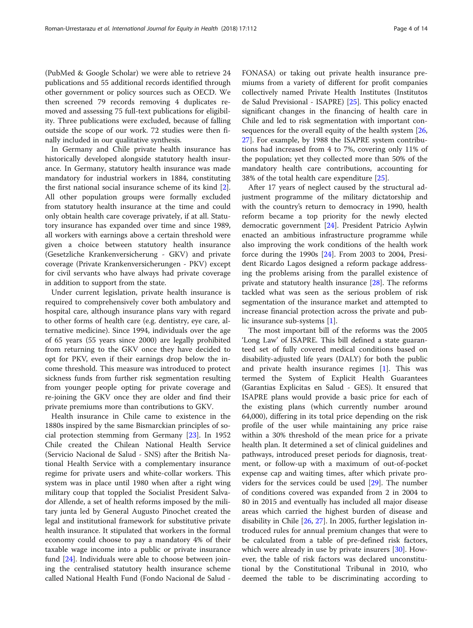(PubMed & Google Scholar) we were able to retrieve 24 publications and 55 additional records identified through other government or policy sources such as OECD. We then screened 79 records removing 4 duplicates removed and assessing 75 full-text publications for eligibility. Three publications were excluded, because of falling outside the scope of our work. 72 studies were then finally included in our qualitative synthesis.

In Germany and Chile private health insurance has historically developed alongside statutory health insurance. In Germany, statutory health insurance was made mandatory for industrial workers in 1884, constituting the first national social insurance scheme of its kind [\[2](#page-13-0)]. All other population groups were formally excluded from statutory health insurance at the time and could only obtain health care coverage privately, if at all. Statutory insurance has expanded over time and since 1989, all workers with earnings above a certain threshold were given a choice between statutory health insurance (Gesetzliche Krankenversicherung - GKV) and private coverage (Private Krankenversicherungen - PKV) except for civil servants who have always had private coverage in addition to support from the state.

Under current legislation, private health insurance is required to comprehensively cover both ambulatory and hospital care, although insurance plans vary with regard to other forms of health care (e.g. dentistry, eye care, alternative medicine). Since 1994, individuals over the age of 65 years (55 years since 2000) are legally prohibited from returning to the GKV once they have decided to opt for PKV, even if their earnings drop below the income threshold. This measure was introduced to protect sickness funds from further risk segmentation resulting from younger people opting for private coverage and re-joining the GKV once they are older and find their private premiums more than contributions to GKV.

Health insurance in Chile came to existence in the 1880s inspired by the same Bismarckian principles of social protection stemming from Germany [[23\]](#page-13-0). In 1952 Chile created the Chilean National Health Service (Servicio Nacional de Salud - SNS) after the British National Health Service with a complementary insurance regime for private users and white-collar workers. This system was in place until 1980 when after a right wing military coup that toppled the Socialist President Salvador Allende, a set of health reforms imposed by the military junta led by General Augusto Pinochet created the legal and institutional framework for substitutive private health insurance. It stipulated that workers in the formal economy could choose to pay a mandatory 4% of their taxable wage income into a public or private insurance fund [\[24\]](#page-13-0). Individuals were able to choose between joining the centralised statutory health insurance scheme called National Health Fund (Fondo Nacional de Salud -

FONASA) or taking out private health insurance premiums from a variety of different for profit companies collectively named Private Health Institutes (Institutos de Salud Previsional - ISAPRE) [[25\]](#page-13-0). This policy enacted significant changes in the financing of health care in Chile and led to risk segmentation with important consequences for the overall equity of the health system [[26](#page-13-0), [27\]](#page-13-0). For example, by 1988 the ISAPRE system contributions had increased from 4 to 7%, covering only 11% of the population; yet they collected more than 50% of the mandatory health care contributions, accounting for 38% of the total health care expenditure [\[25\]](#page-13-0).

After 17 years of neglect caused by the structural adjustment programme of the military dictatorship and with the country's return to democracy in 1990, health reform became a top priority for the newly elected democratic government [\[24](#page-13-0)]. President Patricio Aylwin enacted an ambitious infrastructure programme while also improving the work conditions of the health work force during the 1990s [[24\]](#page-13-0). From 2003 to 2004, President Ricardo Lagos designed a reform package addressing the problems arising from the parallel existence of private and statutory health insurance [[28\]](#page-13-0). The reforms tackled what was seen as the serious problem of risk segmentation of the insurance market and attempted to increase financial protection across the private and public insurance sub-systems [[1\]](#page-13-0).

The most important bill of the reforms was the 2005 'Long Law' of ISAPRE. This bill defined a state guaranteed set of fully covered medical conditions based on disability-adjusted life years (DALY) for both the public and private health insurance regimes  $[1]$  $[1]$ . This was termed the System of Explicit Health Guarantees (Garantias Explicitas en Salud - GES). It ensured that ISAPRE plans would provide a basic price for each of the existing plans (which currently number around 64,000), differing in its total price depending on the risk profile of the user while maintaining any price raise within a 30% threshold of the mean price for a private health plan. It determined a set of clinical guidelines and pathways, introduced preset periods for diagnosis, treatment, or follow-up with a maximum of out-of-pocket expense cap and waiting times, after which private providers for the services could be used [\[29](#page-13-0)]. The number of conditions covered was expanded from 2 in 2004 to 80 in 2015 and eventually has included all major disease areas which carried the highest burden of disease and disability in Chile [\[26](#page-13-0), [27](#page-13-0)]. In 2005, further legislation introduced rules for annual premium changes that were to be calculated from a table of pre-defined risk factors, which were already in use by private insurers [\[30](#page-13-0)]. However, the table of risk factors was declared unconstitutional by the Constitutional Tribunal in 2010, who deemed the table to be discriminating according to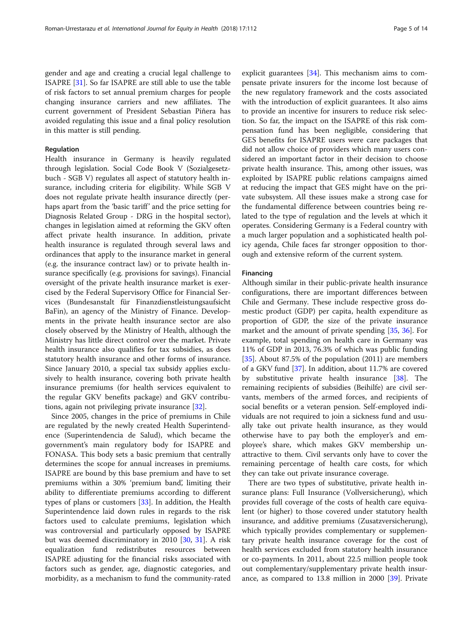gender and age and creating a crucial legal challenge to ISAPRE [\[31\]](#page-13-0). So far ISAPRE are still able to use the table of risk factors to set annual premium charges for people changing insurance carriers and new affiliates. The current government of President Sebastian Piñera has avoided regulating this issue and a final policy resolution in this matter is still pending.

# Regulation

Health insurance in Germany is heavily regulated through legislation. Social Code Book V (Sozialgesetzbuch - SGB V) regulates all aspect of statutory health insurance, including criteria for eligibility. While SGB V does not regulate private health insurance directly (perhaps apart from the 'basic tariff' and the price setting for Diagnosis Related Group - DRG in the hospital sector), changes in legislation aimed at reforming the GKV often affect private health insurance. In addition, private health insurance is regulated through several laws and ordinances that apply to the insurance market in general (e.g. the insurance contract law) or to private health insurance specifically (e.g. provisions for savings). Financial oversight of the private health insurance market is exercised by the Federal Supervisory Office for Financial Services (Bundesanstalt für Finanzdienstleistungsaufsicht BaFin), an agency of the Ministry of Finance. Developments in the private health insurance sector are also closely observed by the Ministry of Health, although the Ministry has little direct control over the market. Private health insurance also qualifies for tax subsidies, as does statutory health insurance and other forms of insurance. Since January 2010, a special tax subsidy applies exclusively to health insurance, covering both private health insurance premiums (for health services equivalent to the regular GKV benefits package) and GKV contributions, again not privileging private insurance [\[32](#page-13-0)].

Since 2005, changes in the price of premiums in Chile are regulated by the newly created Health Superintendence (Superintendencia de Salud), which became the government's main regulatory body for ISAPRE and FONASA. This body sets a basic premium that centrally determines the scope for annual increases in premiums. ISAPRE are bound by this base premium and have to set premiums within a 30% 'premium band', limiting their ability to differentiate premiums according to different types of plans or customers [\[33](#page-13-0)]. In addition, the Health Superintendence laid down rules in regards to the risk factors used to calculate premiums, legislation which was controversial and particularly opposed by ISAPRE but was deemed discriminatory in 2010 [\[30,](#page-13-0) [31\]](#page-13-0). A risk equalization fund redistributes resources between ISAPRE adjusting for the financial risks associated with factors such as gender, age, diagnostic categories, and morbidity, as a mechanism to fund the community-rated

explicit guarantees [\[34](#page-13-0)]. This mechanism aims to compensate private insurers for the income lost because of the new regulatory framework and the costs associated with the introduction of explicit guarantees. It also aims to provide an incentive for insurers to reduce risk selection. So far, the impact on the ISAPRE of this risk compensation fund has been negligible, considering that GES benefits for ISAPRE users were care packages that did not allow choice of providers which many users considered an important factor in their decision to choose private health insurance. This, among other issues, was exploited by ISAPRE public relations campaigns aimed at reducing the impact that GES might have on the private subsystem. All these issues make a strong case for the fundamental difference between countries being related to the type of regulation and the levels at which it operates. Considering Germany is a Federal country with a much larger population and a sophisticated health policy agenda, Chile faces far stronger opposition to thorough and extensive reform of the current system.

# Financing

Although similar in their public-private health insurance configurations, there are important differences between Chile and Germany. These include respective gross domestic product (GDP) per capita, health expenditure as proportion of GDP, the size of the private insurance market and the amount of private spending [\[35,](#page-13-0) [36](#page-13-0)]. For example, total spending on health care in Germany was 11% of GDP in 2013, 76.3% of which was public funding [[35\]](#page-13-0). About 87.5% of the population (2011) are members of a GKV fund [[37\]](#page-13-0). In addition, about 11.7% are covered by substitutive private health insurance [[38\]](#page-13-0). The remaining recipients of subsidies (Beihilfe) are civil servants, members of the armed forces, and recipients of social benefits or a veteran pension. Self-employed individuals are not required to join a sickness fund and usually take out private health insurance, as they would otherwise have to pay both the employer's and employee's share, which makes GKV membership unattractive to them. Civil servants only have to cover the remaining percentage of health care costs, for which they can take out private insurance coverage.

There are two types of substitutive, private health insurance plans: Full Insurance (Vollversicherung), which provides full coverage of the costs of health care equivalent (or higher) to those covered under statutory health insurance, and additive premiums (Zusatzversicherung), which typically provides complementary or supplementary private health insurance coverage for the cost of health services excluded from statutory health insurance or co-payments. In 2011, about 22.5 million people took out complementary/supplementary private health insurance, as compared to 13.8 million in 2000 [\[39](#page-13-0)]. Private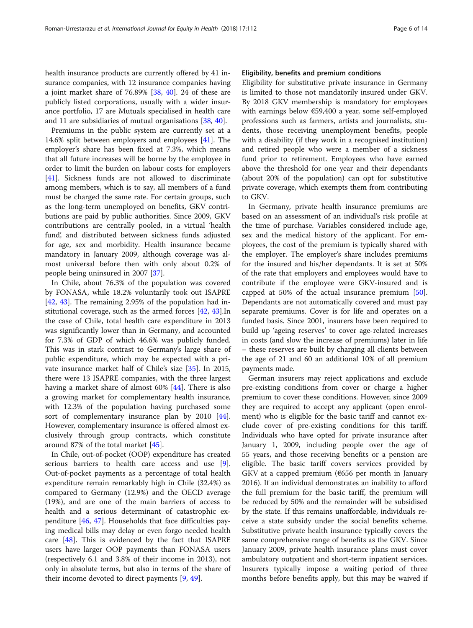health insurance products are currently offered by 41 insurance companies, with 12 insurance companies having a joint market share of 76.89% [[38,](#page-13-0) [40\]](#page-14-0). 24 of these are publicly listed corporations, usually with a wider insurance portfolio, 17 are Mutuals specialised in health care and 11 are subsidiaries of mutual organisations [[38,](#page-13-0) [40\]](#page-14-0).

Premiums in the public system are currently set at a 14.6% split between employers and employees [[41](#page-14-0)]. The employer's share has been fixed at 7.3%, which means that all future increases will be borne by the employee in order to limit the burden on labour costs for employers [[41\]](#page-14-0). Sickness funds are not allowed to discriminate among members, which is to say, all members of a fund must be charged the same rate. For certain groups, such as the long-term unemployed on benefits, GKV contributions are paid by public authorities. Since 2009, GKV contributions are centrally pooled, in a virtual 'health fund', and distributed between sickness funds adjusted for age, sex and morbidity. Health insurance became mandatory in January 2009, although coverage was almost universal before then with only about 0.2% of people being uninsured in 2007 [\[37](#page-13-0)].

In Chile, about 76.3% of the population was covered by FONASA, while 18.2% voluntarily took out ISAPRE [[42,](#page-14-0) [43](#page-14-0)]. The remaining 2.95% of the population had institutional coverage, such as the armed forces [[42](#page-14-0), [43\]](#page-14-0).In the case of Chile, total health care expenditure in 2013 was significantly lower than in Germany, and accounted for 7.3% of GDP of which 46.6% was publicly funded. This was in stark contrast to Germany's large share of public expenditure, which may be expected with a private insurance market half of Chile's size [[35\]](#page-13-0). In 2015, there were 13 ISAPRE companies, with the three largest having a market share of almost 60% [\[44](#page-14-0)]. There is also a growing market for complementary health insurance, with 12.3% of the population having purchased some sort of complementary insurance plan by 2010 [\[44](#page-14-0)]. However, complementary insurance is offered almost exclusively through group contracts, which constitute around 87% of the total market [\[45](#page-14-0)].

In Chile, out-of-pocket (OOP) expenditure has created serious barriers to health care access and use [\[9](#page-13-0)]. Out-of-pocket payments as a percentage of total health expenditure remain remarkably high in Chile (32.4%) as compared to Germany (12.9%) and the OECD average (19%), and are one of the main barriers of access to health and a serious determinant of catastrophic expenditure [[46](#page-14-0), [47\]](#page-14-0). Households that face difficulties paying medical bills may delay or even forgo needed health care [\[48\]](#page-14-0). This is evidenced by the fact that ISAPRE users have larger OOP payments than FONASA users (respectively 6.1 and 3.8% of their income in 2013), not only in absolute terms, but also in terms of the share of their income devoted to direct payments [[9,](#page-13-0) [49](#page-14-0)].

# Eligibility, benefits and premium conditions

Eligibility for substitutive private insurance in Germany is limited to those not mandatorily insured under GKV. By 2018 GKV membership is mandatory for employees with earnings below €59,400 a year, some self-employed professions such as farmers, artists and journalists, students, those receiving unemployment benefits, people with a disability (if they work in a recognised institution) and retired people who were a member of a sickness fund prior to retirement. Employees who have earned above the threshold for one year and their dependants (about 20% of the population) can opt for substitutive private coverage, which exempts them from contributing to GKV.

In Germany, private health insurance premiums are based on an assessment of an individual's risk profile at the time of purchase. Variables considered include age, sex and the medical history of the applicant. For employees, the cost of the premium is typically shared with the employer. The employer's share includes premiums for the insured and his/her dependants. It is set at 50% of the rate that employers and employees would have to contribute if the employee were GKV-insured and is capped at 50% of the actual insurance premium  $[50]$  $[50]$ . Dependants are not automatically covered and must pay separate premiums. Cover is for life and operates on a funded basis. Since 2001, insurers have been required to build up 'ageing reserves' to cover age-related increases in costs (and slow the increase of premiums) later in life – these reserves are built by charging all clients between the age of 21 and 60 an additional 10% of all premium payments made.

German insurers may reject applications and exclude pre-existing conditions from cover or charge a higher premium to cover these conditions. However, since 2009 they are required to accept any applicant (open enrolment) who is eligible for the basic tariff and cannot exclude cover of pre-existing conditions for this tariff. Individuals who have opted for private insurance after January 1, 2009, including people over the age of 55 years, and those receiving benefits or a pension are eligible. The basic tariff covers services provided by GKV at a capped premium (€656 per month in January 2016). If an individual demonstrates an inability to afford the full premium for the basic tariff, the premium will be reduced by 50% and the remainder will be subsidised by the state. If this remains unaffordable, individuals receive a state subsidy under the social benefits scheme. Substitutive private health insurance typically covers the same comprehensive range of benefits as the GKV. Since January 2009, private health insurance plans must cover ambulatory outpatient and short-term inpatient services. Insurers typically impose a waiting period of three months before benefits apply, but this may be waived if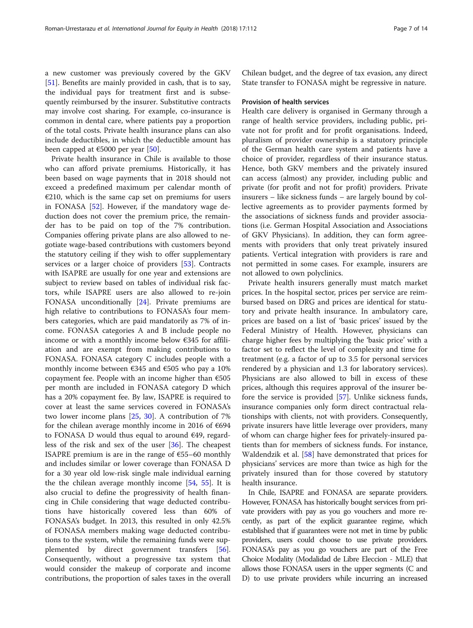a new customer was previously covered by the GKV [[51\]](#page-14-0). Benefits are mainly provided in cash, that is to say, the individual pays for treatment first and is subsequently reimbursed by the insurer. Substitutive contracts may involve cost sharing. For example, co-insurance is common in dental care, where patients pay a proportion of the total costs. Private health insurance plans can also include deductibles, in which the deductible amount has been capped at  $\epsilon$ 5000 per year [[50\]](#page-14-0).

Private health insurance in Chile is available to those who can afford private premiums. Historically, it has been based on wage payments that in 2018 should not exceed a predefined maximum per calendar month of  $€210$ , which is the same cap set on premiums for users in FONASA [[52\]](#page-14-0). However, if the mandatory wage deduction does not cover the premium price, the remainder has to be paid on top of the 7% contribution. Companies offering private plans are also allowed to negotiate wage-based contributions with customers beyond the statutory ceiling if they wish to offer supplementary services or a larger choice of providers [\[53\]](#page-14-0). Contracts with ISAPRE are usually for one year and extensions are subject to review based on tables of individual risk factors, while ISAPRE users are also allowed to re-join FONASA unconditionally [[24\]](#page-13-0). Private premiums are high relative to contributions to FONASA's four members categories, which are paid mandatorily as 7% of income. FONASA categories A and B include people no income or with a monthly income below €345 for affiliation and are exempt from making contributions to FONASA. FONASA category C includes people with a monthly income between  $\epsilon$ 345 and  $\epsilon$ 505 who pay a 10% copayment fee. People with an income higher than  $\epsilon$ 505 per month are included in FONASA category D which has a 20% copayment fee. By law, ISAPRE is required to cover at least the same services covered in FONASA's two lower income plans [\[25](#page-13-0), [30](#page-13-0)]. A contribution of 7% for the chilean average monthly income in 2016 of  $€694$ to FONASA D would thus equal to around €49, regardless of the risk and sex of the user [\[36](#page-13-0)]. The cheapest ISAPRE premium is are in the range of  $E$ 55–60 monthly and includes similar or lower coverage than FONASA D for a 30 year old low-risk single male individual earning the the chilean average monthly income  $[54, 55]$  $[54, 55]$  $[54, 55]$  $[54, 55]$  $[54, 55]$ . It is also crucial to define the progressivity of health financing in Chile considering that wage deducted contributions have historically covered less than 60% of FONASA's budget. In 2013, this resulted in only 42.5% of FONASA members making wage deducted contributions to the system, while the remaining funds were supplemented by direct government transfers [\[56](#page-14-0)]. Consequently, without a progressive tax system that would consider the makeup of corporate and income contributions, the proportion of sales taxes in the overall

Chilean budget, and the degree of tax evasion, any direct State transfer to FONASA might be regressive in nature.

# Provision of health services

Health care delivery is organised in Germany through a range of health service providers, including public, private not for profit and for profit organisations. Indeed, pluralism of provider ownership is a statutory principle of the German health care system and patients have a choice of provider, regardless of their insurance status. Hence, both GKV members and the privately insured can access (almost) any provider, including public and private (for profit and not for profit) providers. Private insurers – like sickness funds – are largely bound by collective agreements as to provider payments formed by the associations of sickness funds and provider associations (i.e. German Hospital Association and Associations of GKV Physicians). In addition, they can form agreements with providers that only treat privately insured patients. Vertical integration with providers is rare and not permitted in some cases. For example, insurers are not allowed to own polyclinics.

Private health insurers generally must match market prices. In the hospital sector, prices per service are reimbursed based on DRG and prices are identical for statutory and private health insurance. In ambulatory care, prices are based on a list of 'basic prices' issued by the Federal Ministry of Health. However, physicians can charge higher fees by multiplying the 'basic price' with a factor set to reflect the level of complexity and time for treatment (e.g. a factor of up to 3.5 for personal services rendered by a physician and 1.3 for laboratory services). Physicians are also allowed to bill in excess of these prices, although this requires approval of the insurer before the service is provided [[57\]](#page-14-0). Unlike sickness funds, insurance companies only form direct contractual relationships with clients, not with providers. Consequently, private insurers have little leverage over providers, many of whom can charge higher fees for privately-insured patients than for members of sickness funds. For instance, Waldendzik et al. [\[58\]](#page-14-0) have demonstrated that prices for physicians' services are more than twice as high for the privately insured than for those covered by statutory health insurance.

In Chile, ISAPRE and FONASA are separate providers. However, FONASA has historically bought services from private providers with pay as you go vouchers and more recently, as part of the explicit guarantee regime, which established that if guarantees were not met in time by public providers, users could choose to use private providers. FONASA's pay as you go vouchers are part of the Free Choice Modality (Modalidad de Libre Eleccion - MLE) that allows those FONASA users in the upper segments (C and D) to use private providers while incurring an increased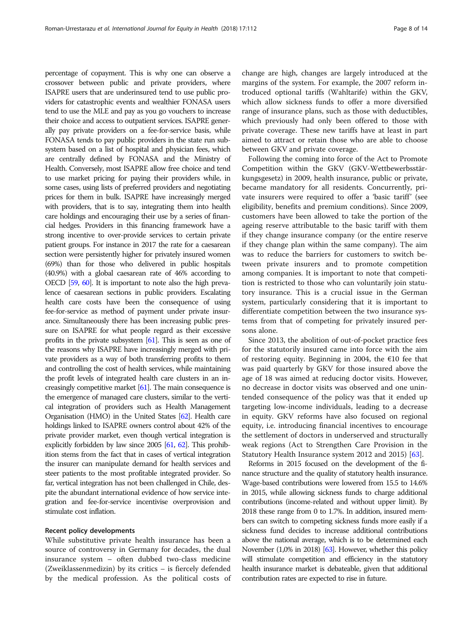percentage of copayment. This is why one can observe a crossover between public and private providers, where ISAPRE users that are underinsured tend to use public providers for catastrophic events and wealthier FONASA users tend to use the MLE and pay as you go vouchers to increase their choice and access to outpatient services. ISAPRE generally pay private providers on a fee-for-service basis, while FONASA tends to pay public providers in the state run subsystem based on a list of hospital and physician fees, which are centrally defined by FONASA and the Ministry of Health. Conversely, most ISAPRE allow free choice and tend to use market pricing for paying their providers while, in some cases, using lists of preferred providers and negotiating prices for them in bulk. ISAPRE have increasingly merged with providers, that is to say, integrating them into health care holdings and encouraging their use by a series of financial hedges. Providers in this financing framework have a strong incentive to over-provide services to certain private patient groups. For instance in 2017 the rate for a caesarean section were persistently higher for privately insured women (69%) than for those who delivered in public hospitals (40.9%) with a global caesarean rate of 46% according to OECD [\[59](#page-14-0), [60\]](#page-14-0). It is important to note also the high prevalence of caesarean sections in public providers. Escalating health care costs have been the consequence of using fee-for-service as method of payment under private insurance. Simultaneously there has been increasing public pressure on ISAPRE for what people regard as their excessive profits in the private subsystem [\[61](#page-14-0)]. This is seen as one of the reasons why ISAPRE have increasingly merged with private providers as a way of both transferring profits to them and controlling the cost of health services, while maintaining the profit levels of integrated health care clusters in an increasingly competitive market [\[61](#page-14-0)]. The main consequence is the emergence of managed care clusters, similar to the vertical integration of providers such as Health Management Organisation (HMO) in the United States [[62\]](#page-14-0). Health care holdings linked to ISAPRE owners control about 42% of the private provider market, even though vertical integration is explicitly forbidden by law since 2005 [[61,](#page-14-0) [62](#page-14-0)]. This prohibition stems from the fact that in cases of vertical integration the insurer can manipulate demand for health services and steer patients to the most profitable integrated provider. So far, vertical integration has not been challenged in Chile, despite the abundant international evidence of how service integration and fee-for-service incentivise overprovision and stimulate cost inflation.

# Recent policy developments

While substitutive private health insurance has been a source of controversy in Germany for decades, the dual insurance system – often dubbed two-class medicine (Zweiklassenmedizin) by its critics – is fiercely defended by the medical profession. As the political costs of change are high, changes are largely introduced at the margins of the system. For example, the 2007 reform introduced optional tariffs (Wahltarife) within the GKV, which allow sickness funds to offer a more diversified range of insurance plans, such as those with deductibles, which previously had only been offered to those with private coverage. These new tariffs have at least in part aimed to attract or retain those who are able to choose between GKV and private coverage.

Following the coming into force of the Act to Promote Competition within the GKV (GKV-Wettbewerbsstärkungsgesetz) in 2009, health insurance, public or private, became mandatory for all residents. Concurrently, private insurers were required to offer a 'basic tariff' (see eligibility, benefits and premium conditions). Since 2009, customers have been allowed to take the portion of the ageing reserve attributable to the basic tariff with them if they change insurance company (or the entire reserve if they change plan within the same company). The aim was to reduce the barriers for customers to switch between private insurers and to promote competition among companies. It is important to note that competition is restricted to those who can voluntarily join statutory insurance. This is a crucial issue in the German system, particularly considering that it is important to differentiate competition between the two insurance systems from that of competing for privately insured persons alone.

Since 2013, the abolition of out-of-pocket practice fees for the statutorily insured came into force with the aim of restoring equity. Beginning in 2004, the €10 fee that was paid quarterly by GKV for those insured above the age of 18 was aimed at reducing doctor visits. However, no decrease in doctor visits was observed and one unintended consequence of the policy was that it ended up targeting low-income individuals, leading to a decrease in equity. GKV reforms have also focused on regional equity, i.e. introducing financial incentives to encourage the settlement of doctors in underserved and structurally weak regions (Act to Strengthen Care Provision in the Statutory Health Insurance system 2012 and 2015) [[63](#page-14-0)].

Reforms in 2015 focused on the development of the finance structure and the quality of statutory health insurance. Wage-based contributions were lowered from 15.5 to 14.6% in 2015, while allowing sickness funds to charge additional contributions (income-related and without upper limit). By 2018 these range from 0 to 1.7%. In addition, insured members can switch to competing sickness funds more easily if a sickness fund decides to increase additional contributions above the national average, which is to be determined each November (1,0% in 2018) [\[63\]](#page-14-0). However, whether this policy will stimulate competition and efficiency in the statutory health insurance market is debateable, given that additional contribution rates are expected to rise in future.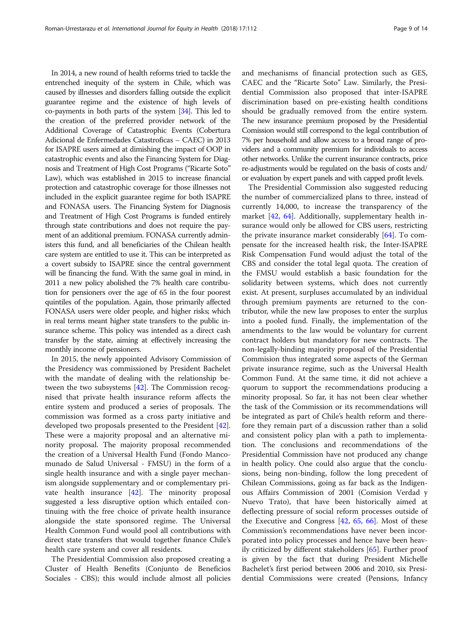In 2014, a new round of health reforms tried to tackle the entrenched inequity of the system in Chile, which was caused by illnesses and disorders falling outside the explicit guarantee regime and the existence of high levels of co-payments in both parts of the system [[34](#page-13-0)]. This led to the creation of the preferred provider network of the Additional Coverage of Catastrophic Events (Cobertura Adicional de Enfermedades Catastroficas – CAEC) in 2013 for ISAPRE users aimed at dimishing the impact of OOP in catastrophic events and also the Financing System for Diagnosis and Treatment of High Cost Programs ("Ricarte Soto" Law), which was established in 2015 to increase financial protection and catastrophic coverage for those illnesses not included in the explicit guarantee regime for both ISAPRE and FONASA users. The Financing System for Diagnosis and Treatment of High Cost Programs is funded entirely through state contributions and does not require the payment of an additional premium. FONASA currently administers this fund, and all beneficiaries of the Chilean health care system are entitled to use it. This can be interpreted as a covert subsidy to ISAPRE since the central government will be financing the fund. With the same goal in mind, in 2011 a new policy abolished the 7% health care contribution for pensioners over the age of 65 in the four poorest quintiles of the population. Again, those primarily affected FONASA users were older people, and higher risks; which in real terms meant higher state transfers to the public insurance scheme. This policy was intended as a direct cash transfer by the state, aiming at effectively increasing the monthly income of pensioners.

In 2015, the newly appointed Advisory Commission of the Presidency was commissioned by President Bachelet with the mandate of dealing with the relationship between the two subsystems [[42](#page-14-0)]. The Commission recognised that private health insurance reform affects the entire system and produced a series of proposals. The commission was formed as a cross party initiative and developed two proposals presented to the President [\[42](#page-14-0)]. These were a majority proposal and an alternative minority proposal. The majority proposal recommended the creation of a Universal Health Fund (Fondo Mancomunado de Salud Universal - FMSU) in the form of a single health insurance and with a single payer mechanism alongside supplementary and or complementary private health insurance [[42\]](#page-14-0). The minority proposal suggested a less disruptive option which entailed continuing with the free choice of private health insurance alongside the state sponsored regime. The Universal Health Common Fund would pool all contributions with direct state transfers that would together finance Chile's health care system and cover all residents.

The Presidential Commission also proposed creating a Cluster of Health Benefits (Conjunto de Beneficios Sociales - CBS); this would include almost all policies and mechanisms of financial protection such as GES, CAEC and the "Ricarte Soto" Law. Similarly, the Presidential Commission also proposed that inter-ISAPRE discrimination based on pre-existing health conditions should be gradually removed from the entire system. The new insurance premium proposed by the Presidential Comission would still correspond to the legal contribution of 7% per household and allow access to a broad range of providers and a community premium for individuals to access other networks. Unlike the current insurance contracts, price re-adjustments would be regulated on the basis of costs and/ or evaluation by expert panels and with capped profit levels.

The Presidential Commission also suggested reducing the number of commercialized plans to three, instead of currently 14,000, to increase the transparency of the market [[42,](#page-14-0) [64\]](#page-14-0). Additionally, supplementary health insurance would only be allowed for CBS users, restricting the private insurance market considerably [\[64\]](#page-14-0). To compensate for the increased health risk, the Inter-ISAPRE Risk Compensation Fund would adjust the total of the CBS and consider the total legal quota. The creation of the FMSU would establish a basic foundation for the solidarity between systems, which does not currently exist. At present, surpluses accumulated by an individual through premium payments are returned to the contributor, while the new law proposes to enter the surplus into a pooled fund. Finally, the implementation of the amendments to the law would be voluntary for current contract holders but mandatory for new contracts. The non-legally-binding majority proposal of the Presidential Commision thus integrated some aspects of the German private insurance regime, such as the Universal Health Common Fund. At the same time, it did not achieve a quorum to support the recommendations producing a minority proposal. So far, it has not been clear whether the task of the Commission or its recommendations will be integrated as part of Chile's health reform and therefore they remain part of a discussion rather than a solid and consistent policy plan with a path to implementation. The conclusions and recommendations of the Presidential Commission have not produced any change in health policy. One could also argue that the conclusions, being non-binding, follow the long precedent of Chilean Commissions, going as far back as the Indigenous Affairs Commission of 2001 (Comision Verdad y Nuevo Trato), that have been historically aimed at deflecting pressure of social reform processes outside of the Executive and Congress  $[42, 65, 66]$  $[42, 65, 66]$  $[42, 65, 66]$  $[42, 65, 66]$  $[42, 65, 66]$  $[42, 65, 66]$ . Most of these Commission's recommendations have never been incorporated into policy processes and hence have been heavily criticized by different stakeholders [[65\]](#page-14-0). Further proof is given by the fact that during President Michelle Bachelet's first period between 2006 and 2010, six Presidential Commissions were created (Pensions, Infancy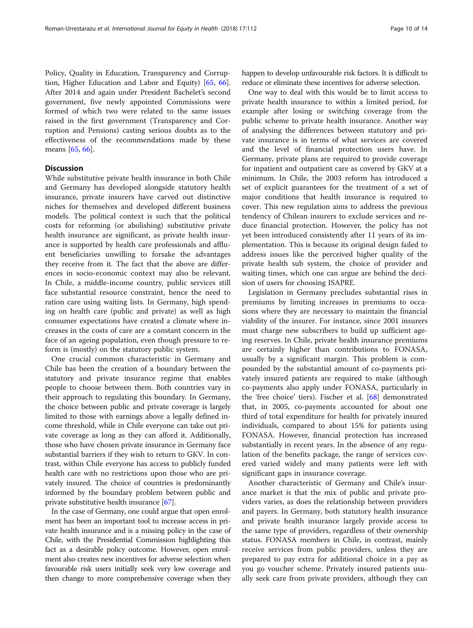Policy, Quality in Education, Transparency and Corruption, Higher Education and Labor and Equity) [\[65](#page-14-0), [66](#page-14-0)]. After 2014 and again under President Bachelet's second government, five newly appointed Commissions were formed of which two were related to the same issues raised in the first government (Transparency and Corruption and Pensions) casting serious doubts as to the effectiveness of the recommendations made by these means [[65,](#page-14-0) [66\]](#page-14-0).

# **Discussion**

While substitutive private health insurance in both Chile and Germany has developed alongside statutory health insurance, private insurers have carved out distinctive niches for themselves and developed different business models. The political context is such that the political costs for reforming (or abolishing) substitutive private health insurance are significant, as private health insurance is supported by health care professionals and affluent beneficiaries unwilling to forsake the advantages they receive from it. The fact that the above are differences in socio-economic context may also be relevant. In Chile, a middle-income country, public services still face substantial resource constraint, hence the need to ration care using waiting lists. In Germany, high spending on health care (public and private) as well as high consumer expectations have created a climate where increases in the costs of care are a constant concern in the face of an ageing population, even though pressure to reform is (mostly) on the statutory public system.

One crucial common characteristic in Germany and Chile has been the creation of a boundary between the statutory and private insurance regime that enables people to choose between them. Both countries vary in their approach to regulating this boundary. In Germany, the choice between public and private coverage is largely limited to those with earnings above a legally defined income threshold, while in Chile everyone can take out private coverage as long as they can afford it. Additionally, those who have chosen private insurance in Germany face substantial barriers if they wish to return to GKV. In contrast, within Chile everyone has access to publicly funded health care with no restrictions upon those who are privately insured. The choice of countries is predominantly informed by the boundary problem between public and private substitutive health insurance [[67](#page-14-0)].

In the case of Germany, one could argue that open enrolment has been an important tool to increase access in private health insurance and is a missing policy in the case of Chile, with the Presidential Commission highlighting this fact as a desirable policy outcome. However, open enrolment also creates new incentives for adverse selection when favourable risk users initially seek very low coverage and then change to more comprehensive coverage when they happen to develop unfavourable risk factors. It is difficult to reduce or eliminate these incentives for adverse selection.

One way to deal with this would be to limit access to private health insurance to within a limited period, for example after losing or switching coverage from the public scheme to private health insurance. Another way of analysing the differences between statutory and private insurance is in terms of what services are covered and the level of financial protection users have. In Germany, private plans are required to provide coverage for inpatient and outpatient care as covered by GKV at a minimum. In Chile, the 2003 reform has introduced a set of explicit guarantees for the treatment of a set of major conditions that health insurance is required to cover. This new regulation aims to address the previous tendency of Chilean insurers to exclude services and reduce financial protection. However, the policy has not yet been introduced consistently after 11 years of its implementation. This is because its original design failed to address issues like the perceived higher quality of the private health sub system, the choice of provider and waiting times, which one can argue are behind the decision of users for choosing ISAPRE.

Legislation in Germany precludes substantial rises in premiums by limiting increases in premiums to occasions where they are necessary to maintain the financial viability of the insurer. For instance, since 2001 insurers must charge new subscribers to build up sufficient ageing reserves. In Chile, private health insurance premiums are certainly higher than contributions to FONASA, usually by a significant margin. This problem is compounded by the substantial amount of co-payments privately insured patients are required to make (although co-payments also apply under FONASA, particularly in the 'free choice' tiers). Fischer et al. [\[68\]](#page-14-0) demonstrated that, in 2005, co-payments accounted for about one third of total expenditure for health for privately insured individuals, compared to about 15% for patients using FONASA. However, financial protection has increased substantially in recent years. In the absence of any regulation of the benefits package, the range of services covered varied widely and many patients were left with significant gaps in insurance coverage.

Another characteristic of Germany and Chile's insurance market is that the mix of public and private providers varies, as does the relationship between providers and payers. In Germany, both statutory health insurance and private health insurance largely provide access to the same type of providers, regardless of their ownership status. FONASA members in Chile, in contrast, mainly receive services from public providers, unless they are prepared to pay extra for additional choice in a pay as you go voucher scheme. Privately insured patients usually seek care from private providers, although they can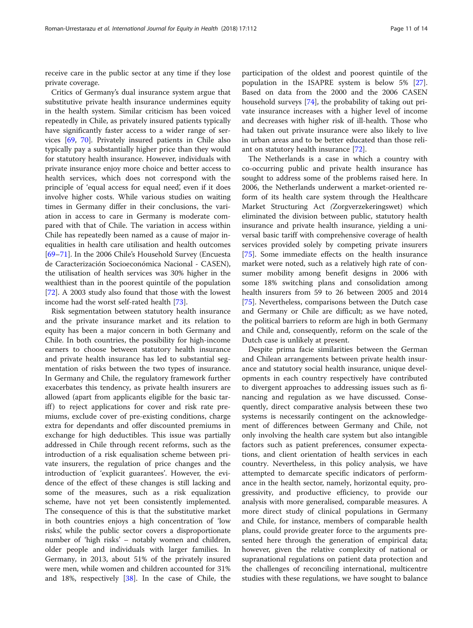receive care in the public sector at any time if they lose private coverage.

Critics of Germany's dual insurance system argue that substitutive private health insurance undermines equity in the health system. Similar criticism has been voiced repeatedly in Chile, as privately insured patients typically have significantly faster access to a wider range of services [[69](#page-14-0), [70\]](#page-14-0). Privately insured patients in Chile also typically pay a substantially higher price than they would for statutory health insurance. However, individuals with private insurance enjoy more choice and better access to health services, which does not correspond with the principle of 'equal access for equal need', even if it does involve higher costs. While various studies on waiting times in Germany differ in their conclusions, the variation in access to care in Germany is moderate compared with that of Chile. The variation in access within Chile has repeatedly been named as a cause of major inequalities in health care utilisation and health outcomes [[69](#page-14-0)–[71](#page-14-0)]. In the 2006 Chile's Household Survey (Encuesta de Caracterización Socioeconómica Nacional - CASEN), the utilisation of health services was 30% higher in the wealthiest than in the poorest quintile of the population [[72\]](#page-14-0). A 2003 study also found that those with the lowest income had the worst self-rated health [\[73](#page-14-0)].

Risk segmentation between statutory health insurance and the private insurance market and its relation to equity has been a major concern in both Germany and Chile. In both countries, the possibility for high-income earners to choose between statutory health insurance and private health insurance has led to substantial segmentation of risks between the two types of insurance. In Germany and Chile, the regulatory framework further exacerbates this tendency, as private health insurers are allowed (apart from applicants eligible for the basic tariff) to reject applications for cover and risk rate premiums, exclude cover of pre-existing conditions, charge extra for dependants and offer discounted premiums in exchange for high deductibles. This issue was partially addressed in Chile through recent reforms, such as the introduction of a risk equalisation scheme between private insurers, the regulation of price changes and the introduction of 'explicit guarantees'. However, the evidence of the effect of these changes is still lacking and some of the measures, such as a risk equalization scheme, have not yet been consistently implemented. The consequence of this is that the substitutive market in both countries enjoys a high concentration of 'low risks', while the public sector covers a disproportionate number of 'high risks' – notably women and children, older people and individuals with larger families. In Germany, in 2013, about 51% of the privately insured were men, while women and children accounted for 31% and 18%, respectively [\[38](#page-13-0)]. In the case of Chile, the

participation of the oldest and poorest quintile of the population in the ISAPRE system is below 5% [\[27](#page-13-0)]. Based on data from the 2000 and the 2006 CASEN household surveys [\[74](#page-14-0)], the probability of taking out private insurance increases with a higher level of income and decreases with higher risk of ill-health. Those who had taken out private insurance were also likely to live in urban areas and to be better educated than those reliant on statutory health insurance [[72\]](#page-14-0).

The Netherlands is a case in which a country with co-occurring public and private health insurance has sought to address some of the problems raised here. In 2006, the Netherlands underwent a market-oriented reform of its health care system through the Healthcare Market Structuring Act (Zorgverzekeringswet) which eliminated the division between public, statutory health insurance and private health insurance, yielding a universal basic tariff with comprehensive coverage of health services provided solely by competing private insurers [[75\]](#page-14-0). Some immediate effects on the health insurance market were noted, such as a relatively high rate of consumer mobility among benefit designs in 2006 with some 18% switching plans and consolidation among health insurers from 59 to 26 between 2005 and 2014 [[75\]](#page-14-0). Nevertheless, comparisons between the Dutch case and Germany or Chile are difficult; as we have noted, the political barriers to reform are high in both Germany and Chile and, consequently, reform on the scale of the Dutch case is unlikely at present.

Despite prima facie similarities between the German and Chilean arrangements between private health insurance and statutory social health insurance, unique developments in each country respectively have contributed to divergent approaches to addressing issues such as financing and regulation as we have discussed. Consequently, direct comparative analysis between these two systems is necessarily contingent on the acknowledgement of differences between Germany and Chile, not only involving the health care system but also intangible factors such as patient preferences, consumer expectations, and client orientation of health services in each country. Nevertheless, in this policy analysis, we have attempted to demarcate specific indicators of performance in the health sector, namely, horizontal equity, progressivity, and productive efficiency, to provide our analysis with more generalised, comparable measures. A more direct study of clinical populations in Germany and Chile, for instance, members of comparable health plans, could provide greater force to the arguments presented here through the generation of empirical data; however, given the relative complexity of national or supranational regulations on patient data protection and the challenges of reconciling international, multicentre studies with these regulations, we have sought to balance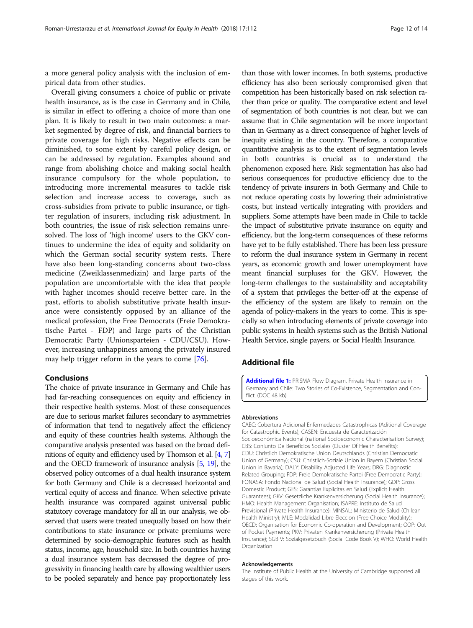<span id="page-12-0"></span>a more general policy analysis with the inclusion of empirical data from other studies.

Overall giving consumers a choice of public or private health insurance, as is the case in Germany and in Chile, is similar in effect to offering a choice of more than one plan. It is likely to result in two main outcomes: a market segmented by degree of risk, and financial barriers to private coverage for high risks. Negative effects can be diminished, to some extent by careful policy design, or can be addressed by regulation. Examples abound and range from abolishing choice and making social health insurance compulsory for the whole population, to introducing more incremental measures to tackle risk selection and increase access to coverage, such as cross-subsidies from private to public insurance, or tighter regulation of insurers, including risk adjustment. In both countries, the issue of risk selection remains unresolved. The loss of 'high income' users to the GKV continues to undermine the idea of equity and solidarity on which the German social security system rests. There have also been long-standing concerns about two-class medicine (Zweiklassenmedizin) and large parts of the population are uncomfortable with the idea that people with higher incomes should receive better care. In the past, efforts to abolish substitutive private health insurance were consistently opposed by an alliance of the medical profession, the Free Democrats (Freie Demokratische Partei - FDP) and large parts of the Christian Democratic Party (Unionsparteien - CDU/CSU). However, increasing unhappiness among the privately insured may help trigger reform in the years to come [\[76](#page-14-0)].

# Conclusions

The choice of private insurance in Germany and Chile has had far-reaching consequences on equity and efficiency in their respective health systems. Most of these consequences are due to serious market failures secondary to asymmetries of information that tend to negatively affect the efficiency and equity of these countries health systems. Although the comparative analysis presented was based on the broad definitions of equity and efficiency used by Thomson et al. [\[4](#page-13-0), [7](#page-13-0)] and the OECD framework of insurance analysis [\[5,](#page-13-0) [19](#page-13-0)], the observed policy outcomes of a dual health insurance system for both Germany and Chile is a decreased horizontal and vertical equity of access and finance. When selective private health insurance was compared against universal public statutory coverage mandatory for all in our analysis, we observed that users were treated unequally based on how their contributions to state insurance or private premiums were determined by socio-demographic features such as health status, income, age, household size. In both countries having a dual insurance system has decreased the degree of progressivity in financing health care by allowing wealthier users to be pooled separately and hence pay proportionately less

than those with lower incomes. In both systems, productive efficiency has also been seriously compromised given that competition has been historically based on risk selection rather than price or quality. The comparative extent and level of segmentation of both countries is not clear, but we can assume that in Chile segmentation will be more important than in Germany as a direct consequence of higher levels of inequity existing in the country. Therefore, a comparative quantitative analysis as to the extent of segmentation levels in both countries is crucial as to understand the phenomenon exposed here. Risk segmentation has also had serious consequences for productive efficiency due to the tendency of private insurers in both Germany and Chile to not reduce operating costs by lowering their administrative costs, but instead vertically integrating with providers and suppliers. Some attempts have been made in Chile to tackle the impact of substitutive private insurance on equity and efficiency, but the long-term consequences of these reforms have yet to be fully established. There has been less pressure to reform the dual insurance system in Germany in recent years, as economic growth and lower unemployment have meant financial surpluses for the GKV. However, the long-term challenges to the sustainability and acceptability of a system that privileges the better-off at the expense of the efficiency of the system are likely to remain on the agenda of policy-makers in the years to come. This is specially so when introducing elements of private coverage into public systems in health systems such as the British National Health Service, single payers, or Social Health Insurance.

# Additional file

[Additional file 1:](https://doi.org/10.1186/s12939-018-0831-z) PRISMA Flow Diagram. Private Health Insurance in Germany and Chile: Two Stories of Co-Existence, Segmentation and Conflict. (DOC 48 kb)

#### Abbreviations

CAEC: Cobertura Adicional Enfermedades Catastrophicas (Aditional Coverage for Catastrophic Events); CASEN: Encuesta de Caracterización Socioeconómica Nacional (national Socioeconomic Characterisation Survey); CBS: Conjunto De Beneficios Sociales (Cluster Of Health Benefits); CDU: Christlich Demokratische Union Deutschlands (Christian Democratic Union of Germany); CSU: Christlich-Soziale Union in Bayern (Christian Social Union in Bavaria); DALY: Disability Adjusted Life Years; DRG: Diagnostic Related Grouping; FDP: Freie Demokratische Partei (Free Democratic Party); FONASA: Fondo Nacional de Salud (Social Health Insurance); GDP: Gross Domestic Product; GES: Garantias Explicitas en Salud (Explicit Health Guarantees); GKV: Gesetzliche Krankenversicherung (Social Health Insurance); HMO: Health Management Organisation; ISAPRE: Instituto de Salud Previsional (Private Health Insurance); MINSAL: Ministerio de Salud (Chilean Health Ministry); MLE: Modalidad Libre Eleccion (Free Choice Modality); OECD: Organisation for Economic Co-operation and Development; OOP: Out of Pocket Payments; PKV: Privaten Krankenversicherung (Private Health Insurance); SGB V: Sozialgesetzbuch (Social Code Book V); WHO: World Health Organization

#### Acknowledgements

The Institute of Public Health at the University of Cambridge supported all stages of this work.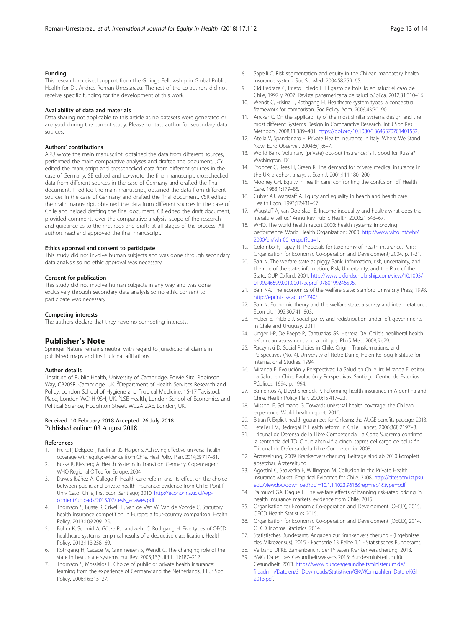# <span id="page-13-0"></span>Funding

This research received support from the Gillings Fellowship in Global Public Health for Dr. Andres Roman-Urrestarazu. The rest of the co-authors did not receive specific funding for the development of this work.

# Availability of data and materials

Data sharing not applicable to this article as no datasets were generated or analysed during the current study. Please contact author for secondary data sources.

## Authors' contributions

ARU wrote the main manuscript, obtained the data from different sources, performed the main comparative analyses and drafted the document. JCY edited the manuscript and crosschecked data from different sources in the case of Germany. SE edited and co-wrote the final manuscript, crosschecked data from different sources in the case of Germany and drafted the final document. IT edited the main manuscript, obtained the data from different sources in the case of Germany and drafted the final document. VSR edited the main manuscript, obtained the data from different sources in the case of Chile and helped drafting the final document. CB edited the draft document, provided comments over the comparative analysis, scope of the research and guidance as to the methods and drafts at all stages of the process. All authors read and approved the final manuscript.

#### Ethics approval and consent to participate

This study did not involve human subjects and was done through secondary data analysis so no ethic approval was necessary.

## Consent for publication

This study did not involve human subjects in any way and was done exclusively through secondary data analysis so no ethic consent to participate was necessary.

## Competing interests

The authors declare that they have no competing interests.

# Publisher's Note

Springer Nature remains neutral with regard to jurisdictional claims in published maps and institutional affiliations.

# Author details

<sup>1</sup>Institute of Public Health, University of Cambridge, Forvie Site, Robinson Way, CB20SR, Cambridge, UK. <sup>2</sup>Department of Health Services Research and Policy, London School of Hygiene and Tropical Medicine, 15-17 Tavistock Place, London WC1H 9SH, UK. <sup>3</sup>LSE Health, London School of Economics and Political Science, Houghton Street, WC2A 2AE, London, UK.

# Received: 10 February 2018 Accepted: 26 July 2018 Published online: 03 August 2018

#### References

- 1. Frenz P, Delgado I, Kaufman JS, Harper S. Achieving effective universal health coverage with equity: evidence from Chile. Heal Policy Plan. 2014;29:717–31.
- 2. Busse R, Riesberg A. Health Systems in Transition: Germany. Copenhagen: WHO Regional Office for Europe; 2004.
- 3. Dawes Ibáñez A, Gallego F. Health care reform and its effect on the choice between public and private health insurance: evidence from Chile: Pontif Univ Catol Chile, Inst Econ Santiago; 2010. [http://economia.uc.cl/wp](http://economia.uc.cl/wp-content/uploads/2015/07/tesis_adawes.pdf)[content/uploads/2015/07/tesis\\_adawes.pdf.](http://economia.uc.cl/wp-content/uploads/2015/07/tesis_adawes.pdf)
- 4. Thomson S, Busse R, Crivelli L, van de Ven W, Van de Voorde C. Statutory health insurance competition in Europe: a four-country comparison. Health Policy. 2013;109:209–25.
- 5. Böhm K, Schmid A, Götze R, Landwehr C, Rothgang H. Five types of OECD healthcare systems: empirical results of a deductive classification. Health Policy. 2013;113:258–69.
- 6. Rothgang H, Cacace M, Grimmeisen S, Wendt C. The changing role of the state in healthcare systems. Eur Rev. 2005;13(SUPPL. 1):187–212.
- Thomson S, Mossialos E. Choice of public or private health insurance: learning from the experience of Germany and the Netherlands. J Eur Soc Policy. 2006;16:315–27.
- 8. Sapelli C. Risk segmentation and equity in the Chilean mandatory health insurance system. Soc Sci Med. 2004;58:259–65.
- 9. Cid Pedraza C, Prieto Toledo L. El gasto de bolsillo en salud: el caso de Chile, 1997 y 2007. Revista panamericana de salud pública. 2012;31:310–16.
- 10. Wendt C, Frisina L, Rothgang H. Healthcare system types: a conceptual framework for comparison. Soc Policy Adm. 2009;43:70–90.
- 11. Anckar C. On the applicability of the most similar systems design and the most different Systems Design in Comparative Research. Int J Soc Res Methodol. 2008;11:389–401. <https://doi.org/10.1080/13645570701401552>.
- 12. Atella V, Spandonaro F. Private Health Insurance in Italy: Where We Stand Now. Euro Observer. 2004;6(1):6–7.
- 13. World Bank. Voluntary (private) opt-out insurance: is it good for Russia? Washington. DC.
- 14. Propper C, Rees H, Green K. The demand for private medical insurance in the UK: a cohort analysis. Econ J. 2001;111:180–200.
- 15. Mooney GH. Equity in health care: confronting the confusion. Eff Health Care. 1983;1:179–85.
- 16. Culyer AJ, Wagstaff A. Equity and equality in health and health care. J Health Econ. 1993;12:431–57.
- 17. Wagstaff A, van Doorslaer E. Income inequality and health: what does the literature tell us? Annu Rev Public Health. 2000;21:543–67.
- 18. WHO. The world health report 2000: health systems: improving performance. World Health Organization; 2000. [http://www.who.int/whr/](http://www.who.int/whr/2000/en/whr00_en.pdf?ua=1) [2000/en/whr00\\_en.pdf?ua=1](http://www.who.int/whr/2000/en/whr00_en.pdf?ua=1).
- 19. Colombo F, Tapay N. Proposals for taxonomy of health insurance. Paris: Organisation for Economic Co-operation and Development; 2004. p. 1-21.
- 20. Barr N. The welfare state as piggy Bank: information, risk, uncertainty, and the role of the state: information, Risk, Uncertainty, and the Role of the State: OUP Oxford; 2001. [http://www.oxfordscholarship.com/view/10.1093/](http://www.oxfordscholarship.com/view/10.1093/0199246599.001.0001/acprof-9780199246595) [0199246599.001.0001/acprof-9780199246595.](http://www.oxfordscholarship.com/view/10.1093/0199246599.001.0001/acprof-9780199246595)
- 21. Barr NA. The economics of the welfare state: Stanford University Press; 1998. [http://eprints.lse.ac.uk/1740/.](http://eprints.lse.ac.uk/1740/)
- 22. Barr N. Economic theory and the welfare state: a survey and interpretation. J Econ Lit. 1992;30:741–803.
- 23. Huber E, Pribble J. Social policy and redistribution under left governments in Chile and Uruguay. 2011.
- 24. Unger J-P, De Paepe P, Cantuarias GS, Herrera OA. Chile's neoliberal health reform: an assessment and a critique. PLoS Med. 2008;5:e79.
- 25. Raczynski D. Social Policies in Chile: Origin, Transformations, and Perspectives (No. 4). University of Notre Dame, Helen Kellogg Institute for International Studies. 1994.
- 26. Miranda E. Evolución y Perspectivas: La Salud en Chile. In: Miranda E, editor. La Salud en Chile: Evolución y Perspectivas. Santiago: Centro de Estudios Públicos; 1994. p. 1994.
- 27. Barrientos A, Lloyd-Sherlock P. Reforming health insurance in Argentina and Chile. Health Policy Plan. 2000;15:417–23.
- 28. Missoni E, Solimano G. Towards universal health coverage: the Chilean experience. World health report. 2010.
- 29. Bitran R. Explicit health guarantees for Chileans: the AUGE benefits package. 2013.
- 30. Letelier LM, Bedregal P. Health reform in Chile. Lancet. 2006;368:2197–8.
- 31. Tribunal de Defensa de la Libre Competencia. La Corte Suprema confirmó la sentencia del TDLC que absolvió a cinco Isapres del cargo de colusión. Tribunal de Defensa de la Libre Competencia. 2008.
- 32. Ärztezeitung, 2009. Krankenversicherung: Beiträge sind ab 2010 komplett absetzbar. Ärztezeitung.
- 33. Agostini C, Saavedra E, Willington M. Collusion in the Private Health Insurance Market: Empirical Evidence for Chile. 2008. [http://citeseerx.ist.psu.](http://citeseerx.ist.psu.edu/viewdoc/download?doi=10.1.1.1023.9618&rep=rep1&type=pdf) [edu/viewdoc/download?doi=10.1.1.1023.9618&rep=rep1&type=pdf.](http://citeseerx.ist.psu.edu/viewdoc/download?doi=10.1.1.1023.9618&rep=rep1&type=pdf)
- 34. Palmucci GA, Dague L. The welfare effects of banning risk-rated pricing in health insurance markets: evidence from Chile. 2015.
- 35. Organisation for Economic Co-operation and Development (OECD), 2015. OECD Health Statistics 2015.
- 36. Organisation for Economic Co-operation and Development (OECD), 2014. OECD Income Statistics. 2014.
- 37. Statistisches Bundesamt, Angaben zur Krankenversicherung (Ergebnisse des Mikrozensus), 2015 - Fachserie 13 Reihe 1.1 - Statistisches Bundesamt.
- 38. Verband DPKE. Zahlenbericht der Privaten Krankenversicherung. 2013.
- 39. BMG. Daten des Gesundheitswesens 2013: Bundesministerium für Gesundheit; 2013. [https://www.bundesgesundheitsministerium.de/](https://www.bundesgesundheitsministerium.de/fileadmin/Dateien/3_Downloads/Statistiken/GKV/Kennzahlen_Daten/KG1_2013.pdf) [fileadmin/Dateien/3\\_Downloads/Statistiken/GKV/Kennzahlen\\_Daten/KG1\\_](https://www.bundesgesundheitsministerium.de/fileadmin/Dateien/3_Downloads/Statistiken/GKV/Kennzahlen_Daten/KG1_2013.pdf) [2013.pdf](https://www.bundesgesundheitsministerium.de/fileadmin/Dateien/3_Downloads/Statistiken/GKV/Kennzahlen_Daten/KG1_2013.pdf).